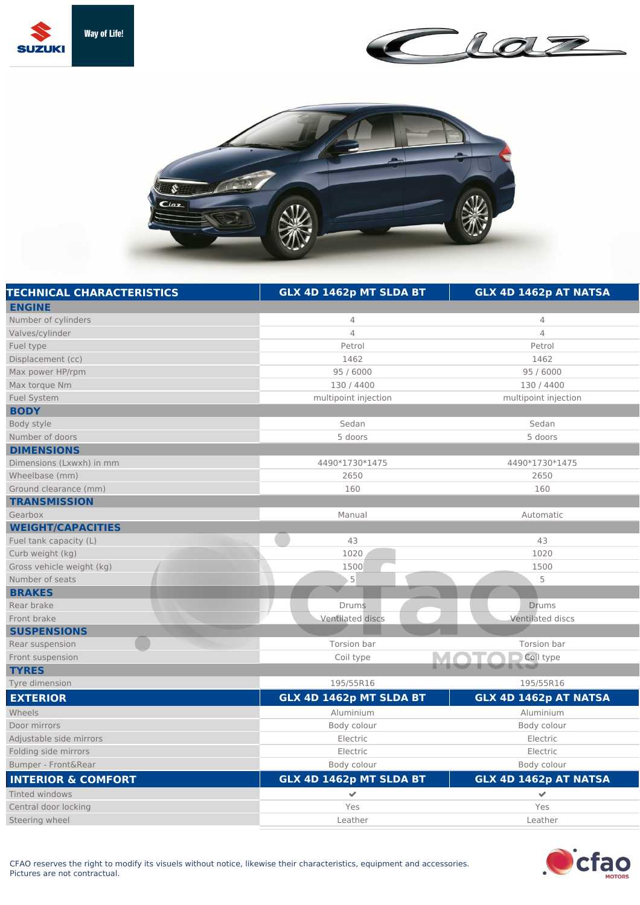





| <b>TECHNICAL CHARACTERISTICS</b> | GLX 4D 1462p MT SLDA BT | GLX 4D 1462p AT NATSA   |
|----------------------------------|-------------------------|-------------------------|
| <b>ENGINE</b>                    |                         |                         |
| Number of cylinders              | 4                       | 4                       |
| Valves/cylinder                  | $\overline{4}$          | $\overline{4}$          |
| Fuel type                        | Petrol                  | Petrol                  |
| Displacement (cc)                | 1462                    | 1462                    |
| Max power HP/rpm                 | 95 / 6000               | 95 / 6000               |
| Max torque Nm                    | 130 / 4400              | 130 / 4400              |
| <b>Fuel System</b>               | multipoint injection    | multipoint injection    |
| <b>BODY</b>                      |                         |                         |
| Body style                       | Sedan                   | Sedan                   |
| Number of doors                  | 5 doors                 | 5 doors                 |
| <b>DIMENSIONS</b>                |                         |                         |
| Dimensions (Lxwxh) in mm         | 4490*1730*1475          | 4490*1730*1475          |
| Wheelbase (mm)                   | 2650                    | 2650                    |
| Ground clearance (mm)            | 160                     | 160                     |
| <b>TRANSMISSION</b>              |                         |                         |
| Gearbox                          | Manual                  | Automatic               |
| <b>WEIGHT/CAPACITIES</b>         |                         |                         |
| Fuel tank capacity (L)           | 43                      | 43                      |
| Curb weight (kg)                 | 1020                    | 1020                    |
| Gross vehicle weight (kg)        | 1500                    | 1500                    |
| Number of seats                  | $\mathsf S$             | 5                       |
| <b>BRAKES</b>                    |                         |                         |
| Rear brake                       | <b>Drums</b>            | <b>Drums</b>            |
| Front brake                      | <b>Ventilated discs</b> | <b>Ventilated discs</b> |
| <b>SUSPENSIONS</b>               |                         |                         |
| Rear suspension                  | Torsion bar             | Torsion bar             |
| Front suspension                 | Coil type               | Coil type               |
| <b>TYRES</b>                     |                         |                         |
| Tyre dimension                   | 195/55R16               | 195/55R16               |
| <b>EXTERIOR</b>                  | GLX 4D 1462p MT SLDA BT | GLX 4D 1462p AT NATSA   |
| Wheels                           | Aluminium               | Aluminium               |
| Door mirrors                     | Body colour             | Body colour             |
| Adjustable side mirrors          | Electric                | Electric                |
| Folding side mirrors             | Electric                | Electric                |
| Bumper - Front&Rear              | Body colour             | Body colour             |
| <b>INTERIOR &amp; COMFORT</b>    | GLX 4D 1462p MT SLDA BT | GLX 4D 1462p AT NATSA   |
| Tinted windows                   | $\checkmark$            | $\checkmark$            |
| Central door locking             | Yes                     | Yes                     |
| Steering wheel                   | Leather                 | Leather                 |